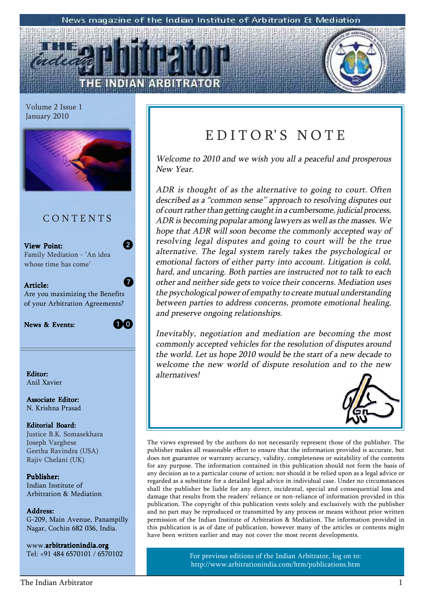#### News magazine of the Indian Institute of Arbitration & Mediation

Volume 2 Issue 1 January 2010



### C O N T E N T S

View Point: Family Mediation - 'An idea whose time has come'



2

 $\bm{Q}$ 

Article: Are you maximizing the Benefits of your Arbitration Agreements?

News & Events:

**10** 

Anil Xavier

Associate Editor: N. Krishna Prasad

### Editorial Board: Justice B.K. Somasekhara Joseph Varghese

Geetha Ravindra (USA) Rajiv Chelani (UK)

Publisher: Indian Institute of Arbitration & Mediation

### Address: Address:

G-209, Main Avenue, Panampilly Nagar, Cochin 682 036, India.

www.arbitrationindia.org Tel: +91 484 6570101 / 6570102

# EDITOR'S NOTE

Welcome to 2010 and we wish you all a peaceful and prosperous New Year.

ADR is thought of as the alternative to going to court. Often described as a "common sense" approach to resolving disputes out of court rather than getting caught in a cumbersome, judicial process, ADR is becoming popular among lawyers as well as the masses. We hope that ADR will soon become the commonly accepted way of resolving legal disputes and going to court will be the true alternative. The legal system rarely takes the psychological or emotional factors of either party into account. Litigation is cold, hard, and uncaring. Both parties are instructed not to talk to each other and neither side gets to voice their concerns. Mediation uses the psychological power of empathy to create mutual understanding between parties to address concerns, promote emotional healing, and preserve ongoing relationships.

Inevitably, negotiation and mediation are becoming the most commonly accepted vehicles for the resolution of disputes around the world. Let us hope 2010 would be the start of a new decade to welcome the new world of dispute resolution and to the new Editor: alternatives!



The views expressed by the authors do not necessarily represent those of the publisher. The publisher makes all reasonable effort to ensure that the information provided is accurate, but does not guarantee or warranty accuracy, validity, completeness or suitability of the contents for any purpose. The information contained in this publication should not form the basis of any decision as to a particular course of action; nor should it be relied upon as a legal advice or regarded as a substitute for a detailed legal advice in individual case. Under no circumstances shall the publisher be liable for any direct, incidental, special and consequential loss and damage that results from the readers' reliance or non-reliance of information provided in this publication. The copyright of this publication vests solely and exclusively with the publisher and no part may be reproduced or transmitted by any process or means without prior written permission of the Indian Institute of Arbitration & Mediation. The information provided in this publication is as of date of publication, however many of the articles or contents might have been written earlier and may not cover the most recent developments.

> For previous editions of the Indian Arbitrator, log on to: http://www.arbitrationindia.com/htm/publications.htm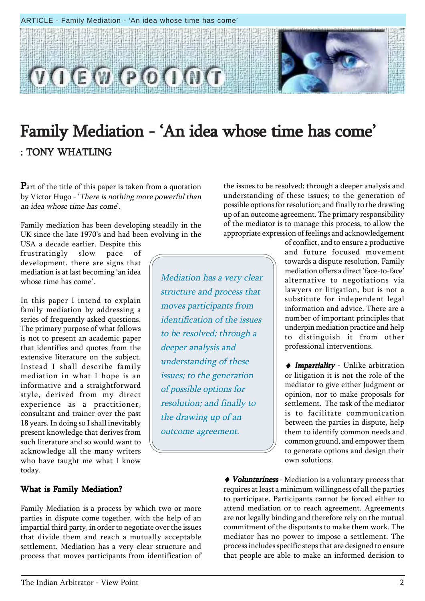#### ARTICLE - Family Mediation - 'An idea whose time has come'



# Family Mediation - 'An idea whose time has come' : TONY WHATLING

Part of the title of this paper is taken from a quotation by Victor Hugo - 'There is nothing more powerful than an idea whose time has come'.

Family mediation has been developing steadily in the UK since the late 1970's and had been evolving in the

USA a decade earlier. Despite this frustratingly slow pace of development, there are signs that mediation is at last becoming ëan idea whose time has come'.

In this paper I intend to explain family mediation by addressing a series of frequently asked questions. The primary purpose of what follows is not to present an academic paper that identifies and quotes from the extensive literature on the subject. Instead I shall describe family mediation in what I hope is an informative and a straightforward style, derived from my direct experience as a practitioner, consultant and trainer over the past 18 years. In doing so I shall inevitably present knowledge that derives from such literature and so would want to acknowledge all the many writers who have taught me what I know today.

### What is Family Mediation?

Family Mediation is a process by which two or more parties in dispute come together, with the help of an impartial third party, in order to negotiate over the issues that divide them and reach a mutually acceptable settlement. Mediation has a very clear structure and process that moves participants from identification of

the issues to be resolved; through a deeper analysis and understanding of these issues; to the generation of possible options for resolution; and finally to the drawing up of an outcome agreement. The primary responsibility of the mediator is to manage this process, to allow the appropriate expression of feelings and acknowledgement

Mediation has a very clear structure and process that moves participants from identification of the issues to be resolved; through a deeper analysis and understanding of these issues; to the generation of possible options for resolution; and finally to the drawing up of an outcome agreement.

of conflict, and to ensure a productive and future focused movement towards a dispute resolution. Family mediation offers a direct 'face-to-face' alternative to negotiations via lawyers or litigation, but is not a substitute for independent legal information and advice. There are a number of important principles that underpin mediation practice and help to distinguish it from other professional interventions.

♦ Impartiality - Unlike arbitration or litigation it is not the role of the mediator to give either Judgment or opinion, nor to make proposals for settlement. The task of the mediator is to facilitate communication between the parties in dispute, help them to identify common needs and common ground, and empower them to generate options and design their own solutions.

 $\blacklozenge$  Voluntariness - Mediation is a voluntary process that requires at least a minimum willingness of all the parties to participate. Participants cannot be forced either to attend mediation or to reach agreement. Agreements are not legally binding and therefore rely on the mutual commitment of the disputants to make them work. The mediator has no power to impose a settlement. The process includes specific steps that are designed to ensure that people are able to make an informed decision to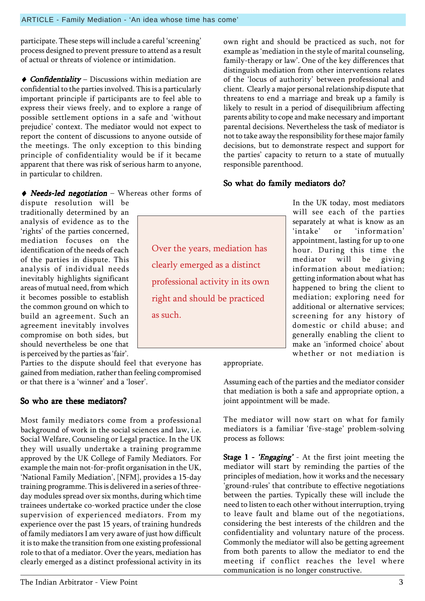participate. These steps will include a careful 'screening' process designed to prevent pressure to attend as a result of actual or threats of violence or intimidation.

 $\triangle$  Confidentiality – Discussions within mediation are confidential to the parties involved. This is a particularly important principle if participants are to feel able to express their views freely, and to explore a range of possible settlement options in a safe and 'without prejudice' context. The mediator would not expect to report the content of discussions to anyone outside of the meetings. The only exception to this binding principle of confidentiality would be if it became apparent that there was risk of serious harm to anyone, in particular to children.

# $\blacklozenge$  Needs-led negotiation – Whereas other forms of

dispute resolution will be traditionally determined by an analysis of evidence as to the 'rights' of the parties concerned, mediation focuses on the identification of the needs of each of the parties in dispute. This analysis of individual needs inevitably highlights significant areas of mutual need, from which it becomes possible to establish the common ground on which to build an agreement. Such an agreement inevitably involves compromise on both sides, but should nevertheless be one that is perceived by the parties as 'fair'.

Parties to the dispute should feel that everyone has gained from mediation, rather than feeling compromised or that there is a 'winner' and a 'loser'.

# So who are these mediators?

Most family mediators come from a professional background of work in the social sciences and law, i.e. Social Welfare, Counseling or Legal practice. In the UK they will usually undertake a training programme approved by the UK College of Family Mediators. For example the main not-for-profit organisation in the UK, 'National Family Mediation', [NFM], provides a 15-day training programme. This is delivered in a series of threeday modules spread over six months, during which time trainees undertake co-worked practice under the close supervision of experienced mediators. From my experience over the past 15 years, of training hundreds of family mediators I am very aware of just how difficult it is to make the transition from one existing professional role to that of a mediator. Over the years, mediation has clearly emerged as a distinct professional activity in its

own right and should be practiced as such, not for example as ëmediation in the style of marital counseling, family-therapy or law'. One of the key differences that distinguish mediation from other interventions relates of the 'locus of authority' between professional and client. Clearly a major personal relationship dispute that threatens to end a marriage and break up a family is likely to result in a period of disequilibrium affecting parents ability to cope and make necessary and important parental decisions. Nevertheless the task of mediator is not to take away the responsibility for these major family decisions, but to demonstrate respect and support for the parties' capacity to return to a state of mutually responsible parenthood.

# So what do family mediators do?

In the UK today, most mediators will see each of the parties separately at what is know as an<br>'intake' or 'information' or 'information' appointment, lasting for up to one hour. During this time the mediator will be giving information about mediation; getting information about what has happened to bring the client to mediation; exploring need for additional or alternative services; screening for any history of domestic or child abuse; and generally enabling the client to make an 'informed choice' about whether or not mediation is

appropriate.

Assuming each of the parties and the mediator consider that mediation is both a safe and appropriate option, a joint appointment will be made.

The mediator will now start on what for family mediators is a familiar 'five-stage' problem-solving process as follows:

**Stage 1 - 'Engaging'** - At the first joint meeting the mediator will start by reminding the parties of the principles of mediation, how it works and the necessary 'ground-rules' that contribute to effective negotiations between the parties. Typically these will include the need to listen to each other without interruption, trying to leave fault and blame out of the negotiations, considering the best interests of the children and the confidentiality and voluntary nature of the process. Commonly the mediator will also be getting agreement from both parents to allow the mediator to end the meeting if conflict reaches the level where communication is no longer constructive.

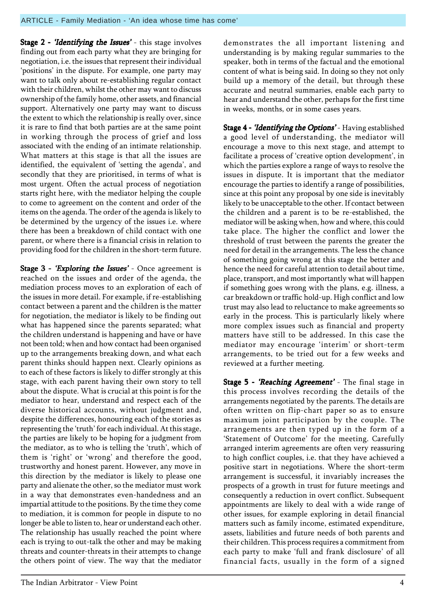Stage 2 - 'Identifying the Issues' - this stage involves finding out from each party what they are bringing for negotiation, i.e. the issues that represent their individual 'positions' in the dispute. For example, one party may want to talk only about re-establishing regular contact with their children, whilst the other may want to discuss ownership of the family home, other assets, and financial support. Alternatively one party may want to discuss the extent to which the relationship is really over, since it is rare to find that both parties are at the same point in working through the process of grief and loss associated with the ending of an intimate relationship. What matters at this stage is that all the issues are identified, the equivalent of 'setting the agenda', and secondly that they are prioritised, in terms of what is most urgent. Often the actual process of negotiation starts right here, with the mediator helping the couple to come to agreement on the content and order of the items on the agenda. The order of the agenda is likely to be determined by the urgency of the issues i.e. where there has been a breakdown of child contact with one parent, or where there is a financial crisis in relation to providing food for the children in the short-term future.

Stage 3 - 'Exploring the Issues' - Once agreement is reached on the issues and order of the agenda, the mediation process moves to an exploration of each of the issues in more detail. For example, if re-establishing contact between a parent and the children is the matter for negotiation, the mediator is likely to be finding out what has happened since the parents separated; what the children understand is happening and have or have not been told; when and how contact had been organised up to the arrangements breaking down, and what each parent thinks should happen next. Clearly opinions as to each of these factors is likely to differ strongly at this stage, with each parent having their own story to tell about the dispute. What is crucial at this point is for the mediator to hear, understand and respect each of the diverse historical accounts, without judgment and, despite the differences, honouring each of the stories as representing the 'truth' for each individual. At this stage, the parties are likely to be hoping for a judgment from the mediator, as to who is telling the 'truth', which of them is 'right' or 'wrong' and therefore the good, trustworthy and honest parent. However, any move in this direction by the mediator is likely to please one party and alienate the other, so the mediator must work in a way that demonstrates even-handedness and an impartial attitude to the positions. By the time they come to mediation, it is common for people in dispute to no longer be able to listen to, hear or understand each other. The relationship has usually reached the point where each is trying to out-talk the other and may be making threats and counter-threats in their attempts to change the others point of view. The way that the mediator

demonstrates the all important listening and understanding is by making regular summaries to the speaker, both in terms of the factual and the emotional content of what is being said. In doing so they not only build up a memory of the detail, but through these accurate and neutral summaries, enable each party to hear and understand the other, perhaps for the first time in weeks, months, or in some cases years.

Stage 4 - 'Identifying the Options' - Having established a good level of understanding, the mediator will encourage a move to this next stage, and attempt to facilitate a process of 'creative option development', in which the parties explore a range of ways to resolve the issues in dispute. It is important that the mediator encourage the parties to identify a range of possibilities, since at this point any proposal by one side is inevitably likely to be unacceptable to the other. If contact between the children and a parent is to be re-established, the mediator will be asking when, how and where, this could take place. The higher the conflict and lower the threshold of trust between the parents the greater the need for detail in the arrangements. The less the chance of something going wrong at this stage the better and hence the need for careful attention to detail about time, place, transport, and most importantly what will happen if something goes wrong with the plans, e.g. illness, a car breakdown or traffic hold-up. High conflict and low trust may also lead to reluctance to make agreements so early in the process. This is particularly likely where more complex issues such as financial and property matters have still to be addressed. In this case the mediator may encourage 'interim' or short-term arrangements, to be tried out for a few weeks and reviewed at a further meeting.

Stage 5 - 'Reaching Agreement' - The final stage in this process involves recording the details of the arrangements negotiated by the parents. The details are often written on flip-chart paper so as to ensure maximum joint participation by the couple. The arrangements are then typed up in the form of a 'Statement of Outcome' for the meeting. Carefully arranged interim agreements are often very reassuring to high conflict couples, i.e. that they have achieved a positive start in negotiations. Where the short-term arrangement is successful, it invariably increases the prospects of a growth in trust for future meetings and consequently a reduction in overt conflict. Subsequent appointments are likely to deal with a wide range of other issues, for example exploring in detail financial matters such as family income, estimated expenditure, assets, liabilities and future needs of both parents and their children. This process requires a commitment from each party to make 'full and frank disclosure' of all financial facts, usually in the form of a signed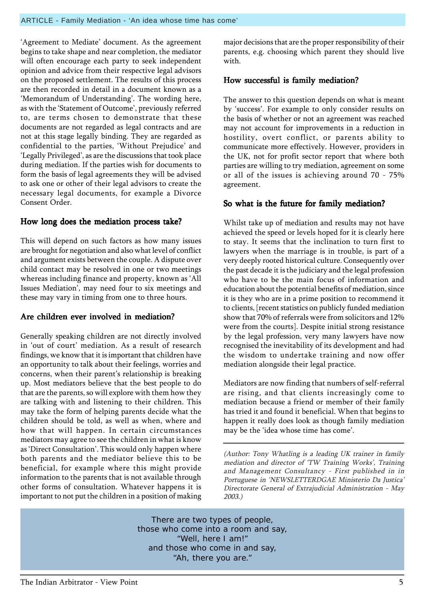'Agreement to Mediate' document. As the agreement begins to take shape and near completion, the mediator will often encourage each party to seek independent opinion and advice from their respective legal advisors on the proposed settlement. The results of this process are then recorded in detail in a document known as a 'Memorandum of Understanding'. The wording here, as with the 'Statement of Outcome', previously referred to, are terms chosen to demonstrate that these documents are not regarded as legal contracts and are not at this stage legally binding. They are regarded as confidential to the parties, 'Without Prejudice' and 'Legally Privileged', as are the discussions that took place during mediation. If the parties wish for documents to form the basis of legal agreements they will be advised to ask one or other of their legal advisors to create the necessary legal documents, for example a Divorce Consent Order.

# How long does the mediation process take?

This will depend on such factors as how many issues are brought for negotiation and also what level of conflict and argument exists between the couple. A dispute over child contact may be resolved in one or two meetings whereas including finance and property, known as 'All Issues Mediation', may need four to six meetings and these may vary in timing from one to three hours.

# Are children ever involved in mediation?

Generally speaking children are not directly involved in 'out of court' mediation. As a result of research findings, we know that it is important that children have an opportunity to talk about their feelings, worries and concerns, when their parent's relationship is breaking up. Most mediators believe that the best people to do that are the parents, so will explore with them how they are talking with and listening to their children. This may take the form of helping parents decide what the children should be told, as well as when, where and how that will happen. In certain circumstances mediators may agree to see the children in what is know as 'Direct Consultation'. This would only happen where both parents and the mediator believe this to be beneficial, for example where this might provide information to the parents that is not available through other forms of consultation. Whatever happens it is important to not put the children in a position of making

major decisions that are the proper responsibility of their parents, e.g. choosing which parent they should live with.

### How successful is family mediation?

The answer to this question depends on what is meant by 'success'. For example to only consider results on the basis of whether or not an agreement was reached may not account for improvements in a reduction in hostility, overt conflict, or parents ability to communicate more effectively. However, providers in the UK, not for profit sector report that where both parties are willing to try mediation, agreement on some or all of the issues is achieving around 70 - 75% agreement.

# So what is the future for family mediation?

Whilst take up of mediation and results may not have achieved the speed or levels hoped for it is clearly here to stay. It seems that the inclination to turn first to lawyers when the marriage is in trouble, is part of a very deeply rooted historical culture. Consequently over the past decade it is the judiciary and the legal profession who have to be the main focus of information and education about the potential benefits of mediation, since it is they who are in a prime position to recommend it to clients, [recent statistics on publicly funded mediation show that 70% of referrals were from solicitors and 12% were from the courts]. Despite initial strong resistance by the legal profession, very many lawyers have now recognised the inevitability of its development and had the wisdom to undertake training and now offer mediation alongside their legal practice.

Mediators are now finding that numbers of self-referral are rising, and that clients increasingly come to mediation because a friend or member of their family has tried it and found it beneficial. When that begins to happen it really does look as though family mediation may be the 'idea whose time has come'.

(Author: Tony Whatling is a leading UK trainer in family mediation and director of 'TW Training Works', Training and Management Consultancy - First published in in Portuguese in 'NEWSLETTERDGAE Ministerio Da Justica' Directorate General of Extrajudicial Administration - May 2003.)

There are two types of people, those who come into a room and say, "Well, here I am!" and those who come in and say, "Ah, there you are."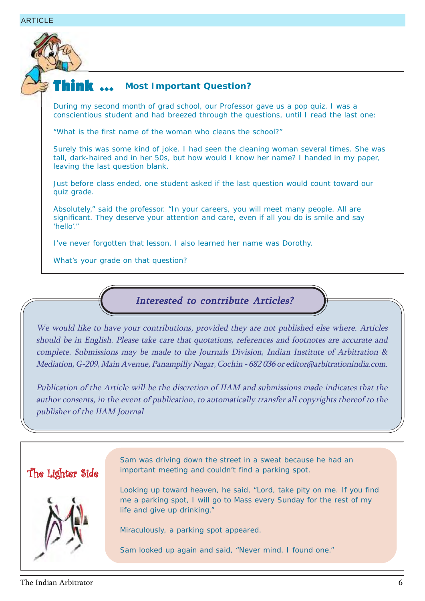

## **Most Important Question?**

During my second month of grad school, our Professor gave us a pop quiz. I was a conscientious student and had breezed through the questions, until I read the last one:

"What is the first name of the woman who cleans the school?"

Surely this was some kind of joke. I had seen the cleaning woman several times. She was tall, dark-haired and in her 50s, but how would I know her name? I handed in my paper, leaving the last question blank.

Just before class ended, one student asked if the last question would count toward our quiz grade.

Absolutely," said the professor. "In your careers, you will meet many people. All are significant. They deserve your attention and care, even if all you do is smile and say 'hello'."

I've never forgotten that lesson. I also learned her name was Dorothy.

What's your grade on that question?

### Interested to contribute Articles?

We would like to have your contributions, provided they are not published else where. Articles should be in English. Please take care that quotations, references and footnotes are accurate and complete. Submissions may be made to the Journals Division, Indian Institute of Arbitration & Mediation, G-209, Main Avenue, Panampilly Nagar, Cochin - 682 036 or editor@arbitrationindia.com.

Publication of the Article will be the discretion of IIAM and submissions made indicates that the author consents, in the event of publication, to automatically transfer all copyrights thereof to the publisher of the IIAM Journal



Sam was driving down the street in a sweat because he had an important meeting and couldn't find a parking spot.

Looking up toward heaven, he said, "Lord, take pity on me. If you find me a parking spot, I will go to Mass every Sunday for the rest of my life and give up drinking."

Miraculously, a parking spot appeared.

Sam looked up again and said, "Never mind. I found one."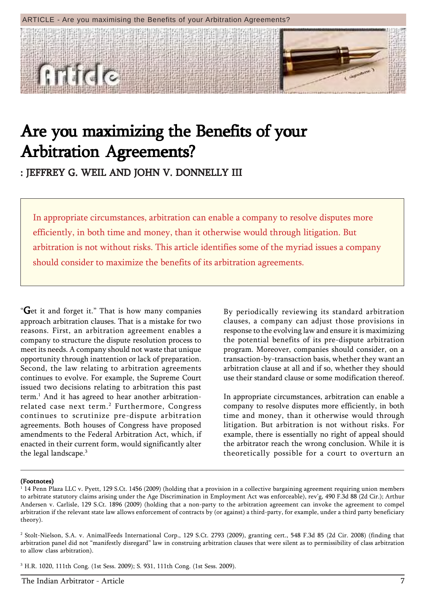#### ARTICLE - Are you maximising the Benefits of your Arbitration Agreements?



# Are you maximizing the Benefits of your Arbitration Agreements? Arbitration Arbitration Agreements?

: JEFFREY G. WEIL AND JOHN V. DONNELLY III

In appropriate circumstances, arbitration can enable a company to resolve disputes more efficiently, in both time and money, than it otherwise would through litigation. But arbitration is not without risks. This article identifies some of the myriad issues a company should consider to maximize the benefits of its arbitration agreements.

 $G$ et it and forget it." That is how many companies approach arbitration clauses. That is a mistake for two reasons. First, an arbitration agreement enables a company to structure the dispute resolution process to meet its needs. A company should not waste that unique opportunity through inattention or lack of preparation. Second, the law relating to arbitration agreements continues to evolve. For example, the Supreme Court issued two decisions relating to arbitration this past term.1 And it has agreed to hear another arbitrationrelated case next term.<sup>2</sup> Furthermore, Congress continues to scrutinize pre-dispute arbitration agreements. Both houses of Congress have proposed amendments to the Federal Arbitration Act, which, if enacted in their current form, would significantly alter the legal landscape.3

By periodically reviewing its standard arbitration clauses, a company can adjust those provisions in response to the evolving law and ensure it is maximizing the potential benefits of its pre-dispute arbitration program. Moreover, companies should consider, on a transaction-by-transaction basis, whether they want an arbitration clause at all and if so, whether they should use their standard clause or some modification thereof.

In appropriate circumstances, arbitration can enable a company to resolve disputes more efficiently, in both time and money, than it otherwise would through litigation. But arbitration is not without risks. For example, there is essentially no right of appeal should the arbitrator reach the wrong conclusion. While it is theoretically possible for a court to overturn an

#### (Footnotes)

 $^{\rm 1}$  14 Penn Plaza LLC v. Pyett, 129 S.Ct. 1456 (2009) (holding that a provision in a collective bargaining agreement requiring union members to arbitrate statutory claims arising under the Age Discrimination in Employment Act was enforceable), rev'g, 490 F.3d 88 (2d Cir.); Arthur Andersen v. Carlisle, 129 S.Ct. 1896 (2009) (holding that a non-party to the arbitration agreement can invoke the agreement to compel arbitration if the relevant state law allows enforcement of contracts by (or against) a third-party, for example, under a third party beneficiary theory).

<sup>2</sup> Stolt-Nielson, S.A. v. AnimalFeeds International Corp., 129 S.Ct. 2793 (2009), granting cert., 548 F.3d 85 (2d Cir. 2008) (finding that arbitration panel did not "manifestly disregard" law in construing arbitration clauses that were silent as to permissibility of class arbitration to allow class arbitration).

<sup>3</sup> H.R. 1020, 111th Cong. (1st Sess. 2009); S. 931, 111th Cong. (1st Sess. 2009).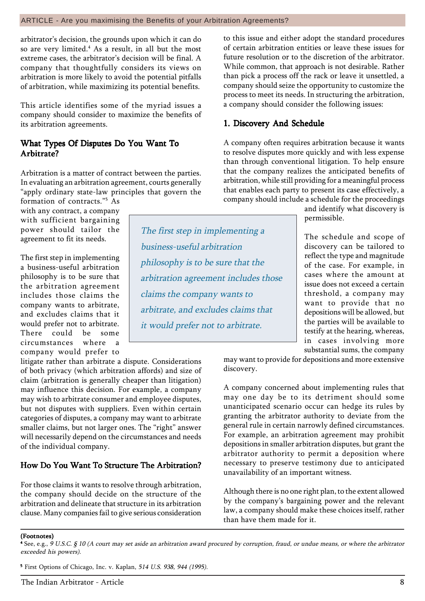### ARTICLE - Are you maximising the Benefits of your Arbitration Agreements?

arbitrator's decision, the grounds upon which it can do so are very limited.4 As a result, in all but the most extreme cases, the arbitrator's decision will be final. A company that thoughtfully considers its views on arbitration is more likely to avoid the potential pitfalls of arbitration, while maximizing its potential benefits.

This article identifies some of the myriad issues a company should consider to maximize the benefits of its arbitration agreements.

### What Types Of Disputes Do You Want To Arbitrate?

Arbitration is a matter of contract between the parties. In evaluating an arbitration agreement, courts generally "apply ordinary state-law principles that govern the

formation of contracts."<sup>5</sup> As with any contract, a company with sufficient bargaining power should tailor the agreement to fit its needs.

The first step in implementing a business-useful arbitration philosophy is to be sure that the arbitration agreement includes those claims the company wants to arbitrate, and excludes claims that it would prefer not to arbitrate. There could be some circumstances where a company would prefer to

litigate rather than arbitrate a dispute. Considerations of both privacy (which arbitration affords) and size of claim (arbitration is generally cheaper than litigation) may influence this decision. For example, a company may wish to arbitrate consumer and employee disputes, but not disputes with suppliers. Even within certain categories of disputes, a company may want to arbitrate smaller claims, but not larger ones. The "right" answer will necessarily depend on the circumstances and needs of the individual company.

# How Do You Want To Structure The Arbitration?

For those claims it wants to resolve through arbitration, the company should decide on the structure of the arbitration and delineate that structure in its arbitration clause. Many companies fail to give serious consideration

to this issue and either adopt the standard procedures of certain arbitration entities or leave these issues for future resolution or to the discretion of the arbitrator. While common, that approach is not desirable. Rather than pick a process off the rack or leave it unsettled, a company should seize the opportunity to customize the process to meet its needs. In structuring the arbitration, a company should consider the following issues:

## 1. Discovery And Schedule

A company often requires arbitration because it wants to resolve disputes more quickly and with less expense than through conventional litigation. To help ensure that the company realizes the anticipated benefits of arbitration, while still providing for a meaningful process that enables each party to present its case effectively, a company should include a schedule for the proceedings

and identify what discovery is permissible.

The schedule and scope of discovery can be tailored to reflect the type and magnitude of the case. For example, in cases where the amount at issue does not exceed a certain threshold, a company may want to provide that no depositions will be allowed, but the parties will be available to testify at the hearing, whereas, in cases involving more substantial sums, the company

may want to provide for depositions and more extensive discovery.

A company concerned about implementing rules that may one day be to its detriment should some unanticipated scenario occur can hedge its rules by granting the arbitrator authority to deviate from the general rule in certain narrowly defined circumstances. For example, an arbitration agreement may prohibit depositions in smaller arbitration disputes, but grant the arbitrator authority to permit a deposition where necessary to preserve testimony due to anticipated unavailability of an important witness.

Although there is no one right plan, to the extent allowed by the company's bargaining power and the relevant law, a company should make these choices itself, rather than have them made for it.

#### (Footnotes)

5 First Options of Chicago, Inc. v. Kaplan, 514 U.S. 938, 944 (1995).

The first step in implementing a business-useful arbitration philosophy is to be sure that the arbitration agreement includes those claims the company wants to arbitrate, and excludes claims that it would prefer not to arbitrate.

<sup>4</sup> See, e.g., 9 U.S.C. ß 10 (A court may set aside an arbitration award procured by corruption, fraud, or undue means, or where the arbitrator exceeded his powers).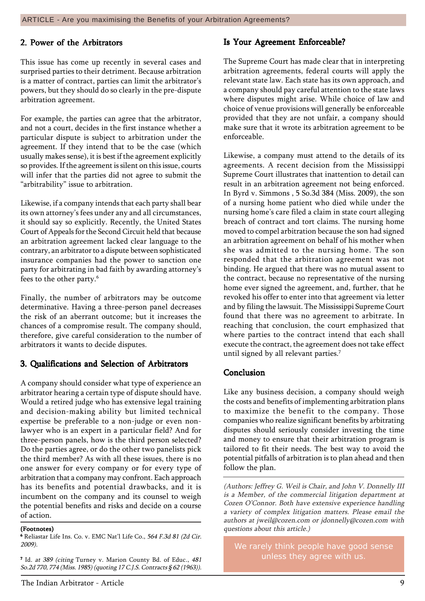### 2. Power of the Arbitrators

This issue has come up recently in several cases and surprised parties to their detriment. Because arbitration is a matter of contract, parties can limit the arbitrator's powers, but they should do so clearly in the pre-dispute arbitration agreement.

For example, the parties can agree that the arbitrator, and not a court, decides in the first instance whether a particular dispute is subject to arbitration under the agreement. If they intend that to be the case (which usually makes sense), it is best if the agreement explicitly so provides. If the agreement is silent on this issue, courts will infer that the parties did not agree to submit the "arbitrability" issue to arbitration.

Likewise, if a company intends that each party shall bear its own attorney's fees under any and all circumstances, it should say so explicitly. Recently, the United States Court of Appeals for the Second Circuit held that because an arbitration agreement lacked clear language to the contrary, an arbitrator to a dispute between sophisticated insurance companies had the power to sanction one party for arbitrating in bad faith by awarding attorney's fees to the other party.<sup>6</sup>

Finally, the number of arbitrators may be outcome determinative. Having a three-person panel decreases the risk of an aberrant outcome; but it increases the chances of a compromise result. The company should, therefore, give careful consideration to the number of arbitrators it wants to decide disputes.

### 3. Qualifications and Selection of Arbitrators

A company should consider what type of experience an arbitrator hearing a certain type of dispute should have. Would a retired judge who has extensive legal training and decision-making ability but limited technical expertise be preferable to a non-judge or even nonlawyer who is an expert in a particular field? And for three-person panels, how is the third person selected? Do the parties agree, or do the other two panelists pick the third member? As with all these issues, there is no one answer for every company or for every type of arbitration that a company may confront. Each approach has its benefits and potential drawbacks, and it is incumbent on the company and its counsel to weigh the potential benefits and risks and decide on a course of action.

#### (Footnotes)

6 Reliastar Life Ins. Co. v. EMC Natíl Life Co., 564 F.3d 81 (2d Cir. 2009).

7 Id. at 389 (citing Turney v. Marion County Bd. of Educ., 481 So.2d 770, 774 (Miss. 1985) (quoting 17 C.J.S. Contracts ß 62 (1963)).

### Is Your Agreement Enforceable?

The Supreme Court has made clear that in interpreting arbitration agreements, federal courts will apply the relevant state law. Each state has its own approach, and a company should pay careful attention to the state laws where disputes might arise. While choice of law and choice of venue provisions will generally be enforceable provided that they are not unfair, a company should make sure that it wrote its arbitration agreement to be enforceable.

Likewise, a company must attend to the details of its agreements. A recent decision from the Mississippi Supreme Court illustrates that inattention to detail can result in an arbitration agreement not being enforced. In Byrd v. Simmons , 5 So.3d 384 (Miss. 2009), the son of a nursing home patient who died while under the nursing home's care filed a claim in state court alleging breach of contract and tort claims. The nursing home moved to compel arbitration because the son had signed an arbitration agreement on behalf of his mother when she was admitted to the nursing home. The son responded that the arbitration agreement was not binding. He argued that there was no mutual assent to the contract, because no representative of the nursing home ever signed the agreement, and, further, that he revoked his offer to enter into that agreement via letter and by filing the lawsuit. The Mississippi Supreme Court found that there was no agreement to arbitrate. In reaching that conclusion, the court emphasized that where parties to the contract intend that each shall execute the contract, the agreement does not take effect until signed by all relevant parties.<sup>7</sup>

### Conclusion

Like any business decision, a company should weigh the costs and benefits of implementing arbitration plans to maximize the benefit to the company. Those companies who realize significant benefits by arbitrating disputes should seriously consider investing the time and money to ensure that their arbitration program is tailored to fit their needs. The best way to avoid the potential pitfalls of arbitration is to plan ahead and then follow the plan.

(Authors: Jeffrey G. Weil is Chair, and John V. Donnelly III is a Member, of the commercial litigation department at Cozen O'Connor. Both have extensive experience handling a variety of complex litigation matters. Please email the authors at jweil@cozen.com or jdonnelly@cozen.com with questions about this article.)

We rarely think people have good sense unless they agree with us.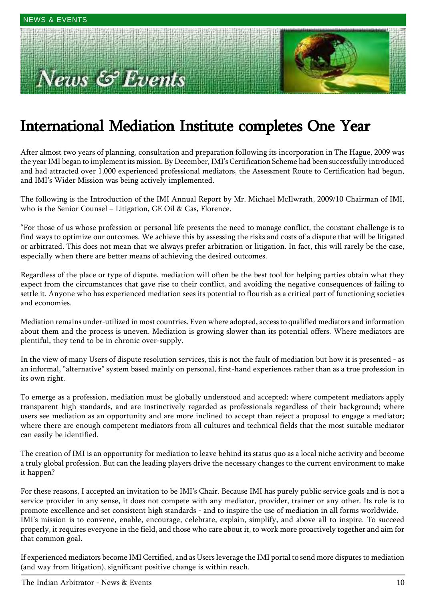# **Example 3 Events**



# International Mediation Institute completes One Year

After almost two years of planning, consultation and preparation following its incorporation in The Hague, 2009 was the year IMI began to implement its mission. By December, IMI's Certification Scheme had been successfully introduced and had attracted over 1,000 experienced professional mediators, the Assessment Route to Certification had begun, and IMI's Wider Mission was being actively implemented.

The following is the Introduction of the IMI Annual Report by Mr. Michael McIlwrath, 2009/10 Chairman of IMI, who is the Senior Counsel  $-$  Litigation, GE Oil & Gas, Florence.

ìFor those of us whose profession or personal life presents the need to manage conflict, the constant challenge is to find ways to optimize our outcomes. We achieve this by assessing the risks and costs of a dispute that will be litigated or arbitrated. This does not mean that we always prefer arbitration or litigation. In fact, this will rarely be the case, especially when there are better means of achieving the desired outcomes.

Regardless of the place or type of dispute, mediation will often be the best tool for helping parties obtain what they expect from the circumstances that gave rise to their conflict, and avoiding the negative consequences of failing to settle it. Anyone who has experienced mediation sees its potential to flourish as a critical part of functioning societies and economies.

Mediation remains under-utilized in most countries. Even where adopted, access to qualified mediators and information about them and the process is uneven. Mediation is growing slower than its potential offers. Where mediators are plentiful, they tend to be in chronic over-supply.

In the view of many Users of dispute resolution services, this is not the fault of mediation but how it is presented - as an informal, "alternative" system based mainly on personal, first-hand experiences rather than as a true profession in its own right.

To emerge as a profession, mediation must be globally understood and accepted; where competent mediators apply transparent high standards, and are instinctively regarded as professionals regardless of their background; where users see mediation as an opportunity and are more inclined to accept than reject a proposal to engage a mediator; where there are enough competent mediators from all cultures and technical fields that the most suitable mediator can easily be identified.

The creation of IMI is an opportunity for mediation to leave behind its status quo as a local niche activity and become a truly global profession. But can the leading players drive the necessary changes to the current environment to make it happen?

For these reasons, I accepted an invitation to be IMI's Chair. Because IMI has purely public service goals and is not a service provider in any sense, it does not compete with any mediator, provider, trainer or any other. Its role is to promote excellence and set consistent high standards - and to inspire the use of mediation in all forms worldwide. IMI's mission is to convene, enable, encourage, celebrate, explain, simplify, and above all to inspire. To succeed properly, it requires everyone in the field, and those who care about it, to work more proactively together and aim for that common goal.

If experienced mediators become IMI Certified, and as Users leverage the IMI portal to send more disputes to mediation (and way from litigation), significant positive change is within reach.